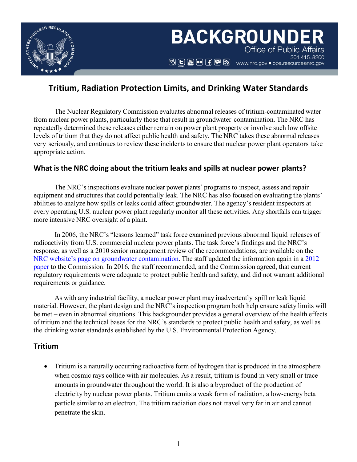

# **Tritium, Radiation Protection Limits, and Drinking Water Standards**

The Nuclear Regulatory Commission evaluates abnormal releases of tritium-contaminated water from nuclear power plants, particularly those that result in groundwater contamination. The NRC has repeatedly determined these releases either remain on power plant property or involve such low offsite levels of tritium that they do not affect public health and safety. The NRC takes these abnormal releases very seriously, and continues to review these incidents to ensure that nuclear power plant operators take appropriate action.

### **What is the NRC doing about the tritium leaks and spills at nuclear power plants?**

The NRC's inspections evaluate nuclear power plants' programs to inspect, assess and repair equipment and structures that could potentially leak. The NRC has also focused on evaluating the plants' abilities to analyze how spills or leaks could affect groundwater. The agency's resident inspectors at every operating U.S. nuclear power plant regularly monitor all these activities. Any shortfalls can trigger more intensive NRC oversight of a plant.

In 2006, the NRC's "lessons learned" task force examined previous abnormal liquid releases of radioactivity from U.S. commercial nuclear power plants. The task force's findings and the NRC's response, as well as a 2010 senior management review of the recommendations, are available on the NRC [website's page on groundwater contamination.](https://www.nrc.gov/reactors/operating/ops-experience/grndwtr-contam-tritium.html) The staff updated the information again in a [2012](https://www.nrc.gov/reading-rm/doc-collections/commission/secys/2012/2012-0046scy.pdf)  [paper](https://www.nrc.gov/reading-rm/doc-collections/commission/secys/2012/2012-0046scy.pdf) to the Commission. In 2016, the staff recommended, and the Commission agreed, that current regulatory requirements were adequate to protect public health and safety, and did not warrant additional requirements or guidance.

As with any industrial facility, a nuclear power plant may inadvertently spill or leak liquid material. However, the plant design and the NRC's inspection program both help ensure safety limits will be met – even in abnormal situations. This backgrounder provides a general overview of the health effects of tritium and the technical bases for the NRC's standards to protect public health and safety, as well as the drinking water standards established by the U.S. Environmental Protection Agency.

### **Tritium**

• Tritium is a naturally occurring radioactive form of hydrogen that is produced in the atmosphere when cosmic rays collide with air molecules. As a result, tritium is found in very small or trace amounts in groundwater throughout the world. It is also a byproduct of the production of electricity by nuclear power plants. Tritium emits a weak form of radiation, a low-energy beta particle similar to an electron. The tritium radiation does not travel very far in air and cannot penetrate the skin.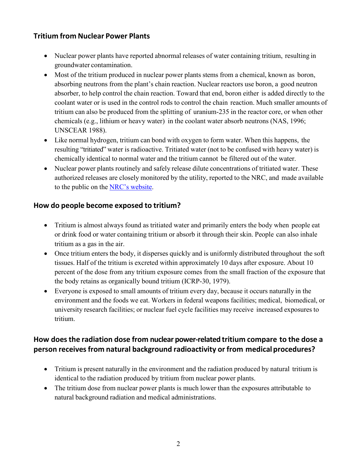# **Tritium from Nuclear Power Plants**

- Nuclear power plants have reported abnormal releases of water containing tritium, resulting in groundwater contamination.
- Most of the tritium produced in nuclear power plants stems from a chemical, known as boron, absorbing neutrons from the plant's chain reaction. Nuclear reactors use boron, a good neutron absorber, to help control the chain reaction. Toward that end, boron either is added directly to the coolant water or is used in the control rods to control the chain reaction. Much smaller amounts of tritium can also be produced from the splitting of uranium-235 in the reactor core, or when other chemicals (e.g., lithium or heavy water) in the coolant water absorb neutrons (NAS, 1996; UNSCEAR 1988).
- Like normal hydrogen, tritium can bond with oxygen to form water. When this happens, the resulting "tritiated" water is radioactive. Tritiated water (not to be confused with heavy water) is chemically identical to normal water and the tritium cannot be filtered out of the water.
- Nuclear power plants routinely and safely release dilute concentrations of tritiated water. These authorized releases are closely monitored by the utility, reported to the NRC, and made available to the public on the NRC's [website.](https://www.nrc.gov/reactors/operating/ops-experience/tritium/plant-info.html)

# **How do people become exposed to tritium?**

- Tritium is almost always found as tritiated water and primarily enters the body when people eat or drink food or water containing tritium or absorb it through their skin. People can also inhale tritium as a gas in the air.
- Once tritium enters the body, it disperses quickly and is uniformly distributed throughout the soft tissues. Half of the tritium is excreted within approximately 10 days after exposure. About 10 percent of the dose from any tritium exposure comes from the small fraction of the exposure that the body retains as organically bound tritium (ICRP-30, 1979).
- Everyone is exposed to small amounts of tritium every day, because it occurs naturally in the environment and the foods we eat. Workers in federal weapons facilities; medical, biomedical, or university research facilities; or nuclear fuel cycle facilities may receive increased exposures to tritium.

# **How doesthe radiation dose from nuclear power-related tritium compare to the dose a person receivesfrom natural background radioactivity or from medicalprocedures?**

- Tritium is present naturally in the environment and the radiation produced by natural tritium is identical to the radiation produced by tritium from nuclear power plants.
- The tritium dose from nuclear power plants is much lower than the exposures attributable to natural background radiation and medical administrations.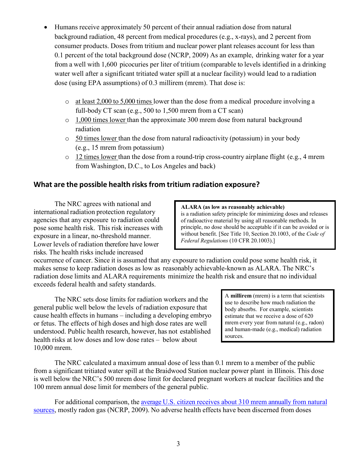- Humans receive approximately 50 percent of their annual radiation dose from natural background radiation, 48 percent from medical procedures (e.g., x-rays), and 2 percent from consumer products. Doses from tritium and nuclear power plant releases account for less than 0.1 percent of the total background dose (NCRP, 2009) As an example, drinking water for a year from a well with 1,600 picocuries per liter of tritium (comparable to levels identified in a drinking water well after a significant tritiated water spill at a nuclear facility) would lead to a radiation dose (using EPA assumptions) of 0.3 millirem (mrem). That dose is:
	- $\circ$  at least 2,000 to 5,000 times lower than the dose from a medical procedure involving a full-body CT scan (e.g., 500 to 1,500 mrem from a CT scan)
	- o 1,000 times lower than the approximate 300 mrem dose from natural background radiation
	- o 50 times lower than the dose from natural radioactivity (potassium) in your body (e.g., 15 mrem from potassium)
	- $\circ$  12 times lower than the dose from a round-trip cross-country airplane flight (e.g., 4 mrem from Washington, D.C., to Los Angeles and back)

# **What are the possible health risks from tritium radiation exposure?**

The NRC agrees with national and international radiation protection regulatory agencies that any exposure to radiation could pose some health risk. This risk increases with exposure in a linear, no-threshold manner. Lower levels of radiation therefore have lower risks. The health risks include increased

#### **ALARA (as low as reasonably achievable)**

is a radiation safety principle for minimizing doses and releases of radioactive material by using all reasonable methods. In principle, no dose should be acceptable if it can be avoided or is without benefit. [See Title 10, Section 20.1003, of the *Code of Federal Regulations* (10 CFR 20.1003).]

occurrence of cancer. Since it is assumed that any exposure to radiation could pose some health risk, it makes sense to keep radiation doses as low as reasonably achievable-known as ALARA. The NRC's radiation dose limits and ALARA requirements minimize the health risk and ensure that no individual exceeds federal health and safety standards.

The NRC sets dose limits for radiation workers and the general public well below the levels of radiation exposure that cause health effects in humans – including a developing embryo or fetus. The effects of high doses and high dose rates are well understood. Public health research, however, has not established health risks at low doses and low dose rates – below about 10,000 mrem.

A **millirem** (mrem) is a term that scientists use to describe how much radiation the body absorbs. For example, scientists estimate that we receive a dose of 620 mrem every year from natural (e.g., radon) and human-made (e.g., medical) radiation sources.

The NRC calculated a maximum annual dose of less than 0.1 mrem to a member of the public from a significant tritiated water spill at the Braidwood Station nuclear power plant in Illinois. This dose is well below the NRC's 500 mrem dose limit for declared pregnant workers at nuclear facilities and the 100 mrem annual dose limit for members of the general public.

For additional comparison, the [average U.S. citizen](https://www.nrc.gov/reading-rm/doc-collections/fact-sheets/bio-effects-radiation.html) receives about 310 mrem annually from natural [sources,](https://www.nrc.gov/reading-rm/doc-collections/fact-sheets/bio-effects-radiation.html) mostly radon gas (NCRP, 2009). No adverse health effects have been discerned from doses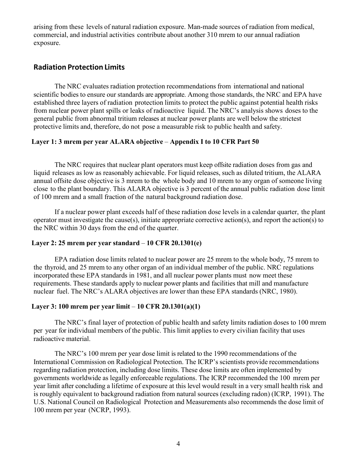arising from these levels of natural radiation exposure. Man-made sources of radiation from medical, commercial, and industrial activities contribute about another 310 mrem to our annual radiation exposure.

### **Radiation Protection Limits**

The NRC evaluates radiation protection recommendations from international and national scientific bodies to ensure our standards are appropriate. Among those standards, the NRC and EPA have established three layers of radiation protection limits to protect the public against potential health risks from nuclear power plant spills or leaks of radioactive liquid. The NRC's analysis shows doses to the general public from abnormal tritium releases at nuclear power plants are well below the strictest protective limits and, therefore, do not pose a measurable risk to public health and safety.

### **Layer 1: 3 mrem per year ALARA objective** – **Appendix I to 10 CFR Part 50**

The NRC requires that nuclear plant operators must keep offsite radiation doses from gas and liquid releases as low as reasonably achievable. For liquid releases, such as diluted tritium, the ALARA annual offsite dose objective is 3 mrem to the whole body and 10 mrem to any organ of someone living close to the plant boundary. This ALARA objective is 3 percent of the annual public radiation dose limit of 100 mrem and a small fraction of the natural background radiation dose.

If a nuclear power plant exceeds half of these radiation dose levels in a calendar quarter, the plant operator must investigate the cause(s), initiate appropriate corrective action(s), and report the action(s) to the NRC within 30 days from the end of the quarter.

### **Layer 2: 25 mrem per year standard** – **10 CFR 20.1301(e)**

EPA radiation dose limits related to nuclear power are 25 mrem to the whole body, 75 mrem to the thyroid, and 25 mrem to any other organ of an individual member of the public. NRC regulations incorporated these EPA standards in 1981, and all nuclear power plants must now meet these requirements. These standards apply to nuclear power plants and facilities that mill and manufacture nuclear fuel. The NRC's ALARA objectives are lower than these EPA standards (NRC, 1980).

### **Layer 3: 100 mrem per year limit** – **10 CFR 20.1301(a)(1)**

The NRC's final layer of protection of public health and safety limits radiation doses to 100 mrem per year for individual members of the public. This limit applies to every civilian facility that uses radioactive material.

The NRC's 100 mrem per year dose limit is related to the 1990 recommendations of the International Commission on Radiological Protection. The ICRP's scientists provide recommendations regarding radiation protection, including dose limits. These dose limits are often implemented by governments worldwide as legally enforceable regulations. The ICRP recommended the 100 mrem per year limit after concluding a lifetime of exposure at this level would result in a very small health risk and is roughly equivalent to background radiation from natural sources (excluding radon) (ICRP, 1991). The U.S. National Council on Radiological Protection and Measurements also recommends the dose limit of 100 mrem per year (NCRP, 1993).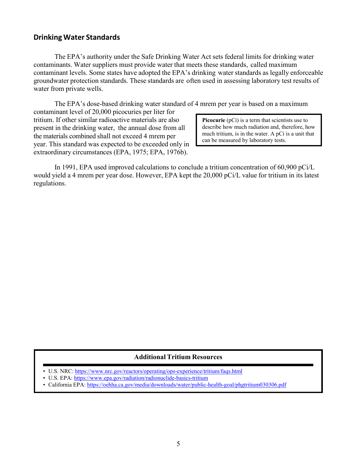#### **Drinking Water Standards**

The EPA's authority under the Safe [Drinking](http://www.epa.gov/regulatory-information-topic/regulatory-information-topic-water#drinking) Water Act sets federal limits for drinking water contaminants. Water suppliers must provide water that meets these standards, called maximum contaminant levels. Some states have adopted the EPA's drinking water standards as legally enforceable groundwater protection standards. These standards are often used in assessing laboratory test results of water from private wells.

The EPA's dose-based drinking water standard of 4 mrem per year is based on a maximum

contaminant level of 20,000 picocuries per liter for tritium. If other similar radioactive materials are also present in the drinking water, the annual dose from all the materials combined shall not exceed 4 mrem per year. This standard was expected to be exceeded only in extraordinary circumstances (EPA, 1975; EPA, 1976b).

**Picocurie** (pCi) is a term that scientists use to describe how much radiation and, therefore, how much tritium, is in the water. A pCi is a unit that can be measured by laboratory tests.

In 1991, EPA used improved calculations to conclude a tritium concentration of 60,900 pCi/L would yield a 4 mrem per year dose. However, EPA kept the 20,000 pCi/L value for tritium in its latest regulations.

#### **Additional Tritium Resources**

- U.S. NRC: <https://www.nrc.gov/reactors/operating/ops-experience/tritium/faqs.html>
- U.S. EPA:<https://www.epa.gov/radiation/radionuclide-basics-tritium>
- California EPA[: https://oehha.ca.gov/media/downloads/water/public-health-goal/phgtritium030306.pdf](https://oehha.ca.gov/media/downloads/water/public-health-goal/phgtritium030306.pdf)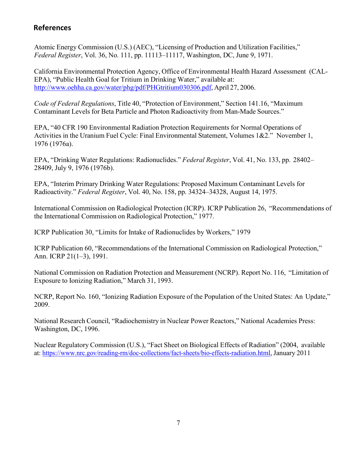# **References**

Atomic Energy Commission (U.S.) (AEC), "Licensing of Production and Utilization Facilities," *Federal Register*, Vol. 36, No. 111, pp. 11113–11117, Washington, DC, June 9, 1971.

California Environmental Protection Agency, Office of Environmental Health Hazard Assessment (CAL-EPA), "Public Health Goal for Tritium in Drinking Water," available at: [http://www.oehha.ca.gov/water/phg/pdf/PHGtritium030306.pdf,](http://www.oehha.ca.gov/water/phg/pdf/PHGtritium030306.pdf) April 27, 2006.

*Code of Federal Regulations*, Title 40, "Protection of Environment," Section 141.16, "Maximum Contaminant Levels for Beta Particle and Photon Radioactivity from Man-Made Sources."

EPA, "40 CFR 190 Environmental Radiation Protection Requirements for Normal Operations of Activities in the Uranium Fuel Cycle: Final Environmental Statement, Volumes 1&2." November 1, 1976 (1976a).

EPA, "Drinking Water Regulations: Radionuclides." *Federal Register*, Vol. 41, No. 133, pp. 28402– 28409, July 9, 1976 (1976b).

EPA, "Interim Primary Drinking Water Regulations: Proposed Maximum Contaminant Levels for Radioactivity." *Federal Register*, Vol. 40, No. 158, pp. 34324–34328, August 14, 1975.

International Commission on Radiological Protection (ICRP). ICRP Publication 26, "Recommendations of the International Commission on Radiological Protection," 1977.

ICRP Publication 30, "Limits for Intake of Radionuclides by Workers," 1979

ICRP Publication 60, "Recommendations of the International Commission on Radiological Protection," Ann. ICRP 21(1–3), 1991.

National Commission on Radiation Protection and Measurement (NCRP). Report No. 116, "Limitation of Exposure to Ionizing Radiation," March 31, 1993.

NCRP, Report No. 160, "Ionizing Radiation Exposure of the Population of the United States: An Update," 2009.

National Research Council, "Radiochemistry in Nuclear Power Reactors," National Academies Press: Washington, DC, 1996.

Nuclear Regulatory Commission (U.S.), "Fact Sheet on Biological Effects of Radiation" (2004, available at: [https://www.nrc.gov/reading-rm/doc-collections/fact-sheets/bio-effects-radiation.html,](https://www.nrc.gov/reading-rm/doc-collections/fact-sheets/bio-effects-radiation.html)January 2011